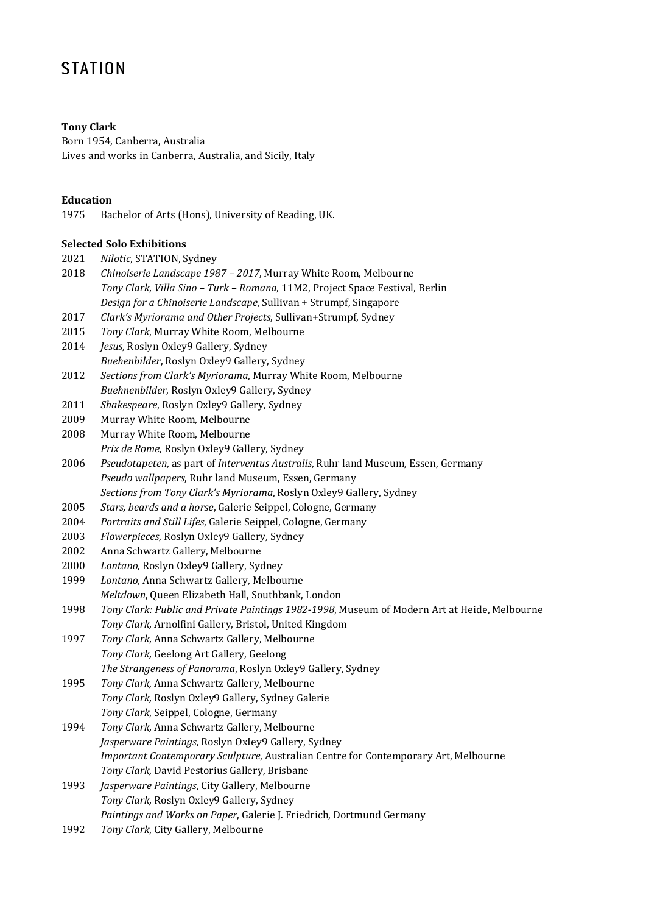# **STATION**

# **Tony Clark**

Born 1954, Canberra, Australia Lives and works in Canberra, Australia, and Sicily, Italy

### **Education**

1975 Bachelor of Arts (Hons), University of Reading, UK.

# **Selected Solo Exhibitions**

- 2021 *Nilotic*, STATION, Sydney
- 2018 *Chinoiserie Landscape 1987 – 2017*, Murray White Room, Melbourne *Tony Clark, Villa Sino – Turk – Romana*, 11M2, Project Space Festival, Berlin *Design for a Chinoiserie Landscape*, Sullivan + Strumpf, Singapore
- 2017 *Clark's Myriorama and Other Projects*, Sullivan+Strumpf, Sydney
- 2015 *Tony Clark*, Murray White Room, Melbourne
- 2014 *Jesus*, Roslyn Oxley9 Gallery, Sydney *Buehenbilder*, Roslyn Oxley9 Gallery, Sydney
- 2012 *Sections from Clark's Myriorama*, Murray White Room, Melbourne *Buehnenbilder*, Roslyn Oxley9 Gallery, Sydney
- 2011 *Shakespeare*, Roslyn Oxley9 Gallery, Sydney
- 2009 Murray White Room, Melbourne
- 2008 Murray White Room, Melbourne
	- *Prix de Rome*, Roslyn Oxley9 Gallery, Sydney
- 2006 *Pseudotapeten*, as part of *Interventus Australis*, Ruhr land Museum, Essen, Germany *Pseudo wallpapers*, Ruhr land Museum, Essen, Germany
- *Sections from Tony Clark's Myriorama*, Roslyn Oxley9 Gallery, Sydney
- 2005 *Stars, beards and a horse*, Galerie Seippel, Cologne, Germany
- 2004 *Portraits and Still Lifes*, Galerie Seippel, Cologne, Germany
- 2003 *Flowerpieces*, Roslyn Oxley9 Gallery, Sydney
- 2002 Anna Schwartz Gallery, Melbourne
- 2000 *Lontano*, Roslyn Oxley9 Gallery, Sydney
- 1999 *Lontano*, Anna Schwartz Gallery, Melbourne *Meltdown*, Queen Elizabeth Hall, Southbank, London
- 1998 *Tony Clark: Public and Private Paintings 1982-1998*, Museum of Modern Art at Heide, Melbourne *Tony Clark,* Arnolfini Gallery, Bristol, United Kingdom
- 1997 *Tony Clark,* Anna Schwartz Gallery, Melbourne *Tony Clark,* Geelong Art Gallery, Geelong *The Strangeness of Panorama*, Roslyn Oxley9 Gallery, Sydney
- 1995 *Tony Clark,* Anna Schwartz Gallery, Melbourne *Tony Clark,* Roslyn Oxley9 Gallery, Sydney Galerie *Tony Clark,* Seippel, Cologne, Germany
- 1994 *Tony Clark,* Anna Schwartz Gallery, Melbourne *Jasperware Paintings*, Roslyn OxIey9 Gallery, Sydney *Important Contemporary Sculpture*, Australian Centre for Contemporary Art, Melbourne *Tony Clark,* David Pestorius Gallery, Brisbane
- 1993 *Jasperware Paintings*, City Gallery, Melbourne *Tony Clark,* Roslyn Oxley9 Gallery, Sydney *Paintings and Works on Paper*, Galerie J. Friedrich, Dortmund Germany
- 1992 *Tony Clark,* City Gallery, Melbourne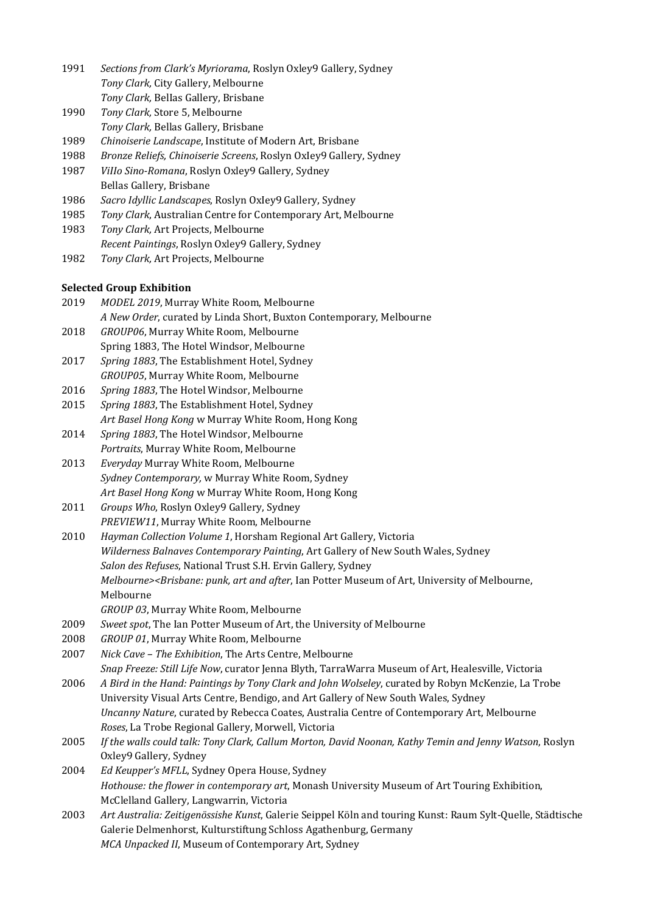- 1991 *Sections from Clark's Myriorama*, Roslyn Oxley9 Gallery, Sydney *Tony Clark,* City Gallery, Melbourne *Tony Clark,* BelIas Gallery, Brisbane
- 1990 *Tony Clark,* Store 5, Melbourne
- *Tony Clark,* Bellas Gallery, Brisbane
- 1989 *Chinoiserie Landscape*, Institute of Modern Art, Brisbane
- 1988 *Bronze Reliefs, Chinoiserie Screens*, Roslyn OxIey9 Gallery, Sydney
- 1987 *ViIIo Sino-Romana*, Roslyn Oxley9 Gallery, Sydney Bellas Gallery, Brisbane
- 1986 *Sacro Idyllic Landscapes*, Roslyn OxIey9 Gallery, Sydney
- 1985 *Tony Clark*, Australian Centre for Contemporary Art, Melbourne
- 1983 *Tony Clark,* Art Projects, Melbourne *Recent Paintings*, Roslyn Oxley9 Gallery, Sydney
- 1982 *Tony Clark,* Art Projects, Melbourne

# **Selected Group Exhibition**

- 2019 *MODEL 2019*, Murray White Room, Melbourne *A New Order*, curated by Linda Short, Buxton Contemporary, Melbourne
- 2018 *GROUP06*, Murray White Room, Melbourne Spring 1883, The Hotel Windsor, Melbourne
- 2017 *Spring 1883*, The Establishment Hotel, Sydney
- *GROUP05*, Murray White Room, Melbourne
- 2016 *Spring 1883*, The Hotel Windsor, Melbourne
- 2015 *Spring 1883*, The Establishment Hotel, Sydney *Art Basel Hong Kong* w Murray White Room, Hong Kong
- 2014 *Spring 1883*, The Hotel Windsor, Melbourne *Portraits*, Murray White Room, Melbourne
- 2013 *Everyday* Murray White Room, Melbourne *Sydney Contemporary,* w Murray White Room, Sydney *Art Basel Hong Kong* w Murray White Room, Hong Kong
- 2011 *Groups Who*, Roslyn Oxley9 Gallery, Sydney *PREVIEW11*, Murray White Room, Melbourne
- 2010 *Hayman Collection Volume 1*, Horsham Regional Art Gallery, Victoria *Wilderness Balnaves Contemporary Painting*, Art Gallery of New South Wales, Sydney *Salon des Refuses*, National Trust S.H. Ervin Gallery, Sydney *Melbourne><Brisbane: punk, art and after*, Ian Potter Museum of Art, University of Melbourne, Melbourne
	- *GROUP 03*, Murray White Room, Melbourne
- 2009 *Sweet spot*, The Ian Potter Museum of Art, the University of Melbourne
- 2008 *GROUP 01*, Murray White Room, Melbourne
- 2007 *Nick Cave – The Exhibition*, The Arts Centre, Melbourne

*Snap Freeze: Still Life Now*, curator Jenna Blyth, TarraWarra Museum of Art, Healesville, Victoria

- 2006 *A Bird in the Hand: Paintings by Tony Clark and John Wolseley*, curated by Robyn McKenzie, La Trobe University Visual Arts Centre, Bendigo, and Art Gallery of New South Wales, Sydney *Uncanny Nature*, curated by Rebecca Coates, Australia Centre of Contemporary Art, Melbourne *Roses*, La Trobe Regional Gallery, Morwell, Victoria
- 2005 *If the walls could talk: Tony Clark, Callum Morton, David Noonan, Kathy Temin and Jenny Watson*, Roslyn Oxley9 Gallery, Sydney
- 2004 *Ed Keupper's MFLL*, Sydney Opera House, Sydney *Hothouse: the flower in contemporary art*, Monash University Museum of Art Touring Exhibition, McClelland Gallery, Langwarrin, Victoria
- 2003 *Art Australia: Zeitigenössishe Kunst*, Galerie Seippel Köln and touring Kunst: Raum Sylt-Quelle, Städtische Galerie Delmenhorst, Kulturstiftung Schloss Agathenburg, Germany *MCA Unpacked II*, Museum of Contemporary Art, Sydney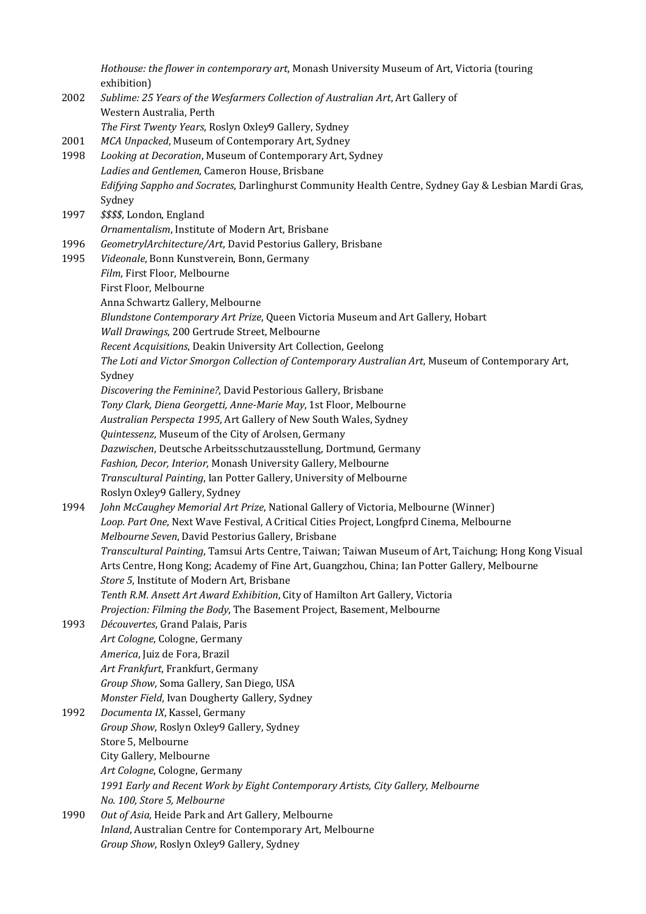*Hothouse: the flower in contemporary art*, Monash University Museum of Art, Victoria (touring exhibition)

2002 *Sublime: 25 Years of the Wesfarmers Collection of Australian Art*, Art Gallery of Western Australia, Perth *The First Twenty Years*, Roslyn Oxley9 Gallery, Sydney 2001 *MCA Unpacked*, Museum of Contemporary Art, Sydney 1998 *Looking at Decoration*, Museum of Contemporary Art, Sydney *Ladies and Gentlemen*, Cameron House, Brisbane *Edifying Sappho and Socrates*, Darlinghurst Community Health Centre, Sydney Gay & Lesbian Mardi Gras, Sydney 1997 *\$\$\$\$*, London, England *Ornamentalism*, Institute of Modern Art, Brisbane 1996 *GeometrylArchitecture/Art*, David Pestorius Gallery, Brisbane 1995 *Videonale*, Bonn Kunstverein, Bonn, Germany *Film*, First Floor, Melbourne First Floor, Melbourne Anna Schwartz Gallery, Melbourne *Blundstone Contemporary Art Prize*, Queen Victoria Museum and Art Gallery, Hobart *Wall Drawings*, 200 Gertrude Street, Melbourne *Recent Acquisitions*, Deakin University Art Collection, Geelong *The Loti and Victor Smorgon Collection of Contemporary Australian Art*, Museum of Contemporary Art, Sydney *Discovering the Feminine?*, David Pestorious Gallery, Brisbane *Tony Clark, Diena Georgetti, Anne-Marie May*, 1st Floor, Melbourne *Australian Perspecta 1995*, Art Gallery of New South Wales, Sydney *Quintessenz*, Museum of the City of Arolsen, Germany *Dazwischen*, Deutsche Arbeitsschutzausstellung, Dortmund, Germany *Fashion, Decor, Interior*, Monash University Gallery, Melbourne *Transcultural Painting*, Ian Potter Gallery, University of Melbourne Roslyn Oxley9 Gallery, Sydney 1994 *John McCaughey Memorial Art Prize*, National Gallery of Victoria, Melbourne (Winner) *Loop. Part One*, Next Wave Festival, A Critical Cities Project, Longfprd Cinema, Melbourne *Melbourne Seven*, David Pestorius Gallery, Brisbane *Transcultural Painting*, Tamsui Arts Centre, Taiwan; Taiwan Museum of Art, Taichung; Hong Kong Visual Arts Centre, Hong Kong; Academy of Fine Art, Guangzhou, China; Ian Potter Gallery, Melbourne *Store 5*, Institute of Modern Art, Brisbane *Tenth R.M. Ansett Art Award Exhibition*, City of Hamilton Art Gallery, Victoria *Projection: Filming the Body*, The Basement Project, Basement, Melbourne 1993 *Découvertes*, Grand Palais, Paris *Art Cologne*, Cologne, Germany *America*, Juiz de Fora, Brazil *Art Frankfurt*, Frankfurt, Germany *Group Show*, Soma Gallery, San Diego, USA *Monster Field*, Ivan Dougherty Gallery, Sydney 1992 *Documenta IX*, Kassel, Germany *Group Show*, Roslyn Oxley9 Gallery, Sydney Store 5, Melbourne City Gallery, Melbourne *Art Cologne*, Cologne, Germany *1991 Early and Recent Work by Eight Contemporary Artists, City Gallery, Melbourne No. 100, Store 5, Melbourne* 1990 *Out of Asia*, Heide Park and Art Gallery, Melbourne *Inland*, Australian Centre for Contemporary Art, Melbourne *Group Show*, Roslyn Oxley9 Gallery, Sydney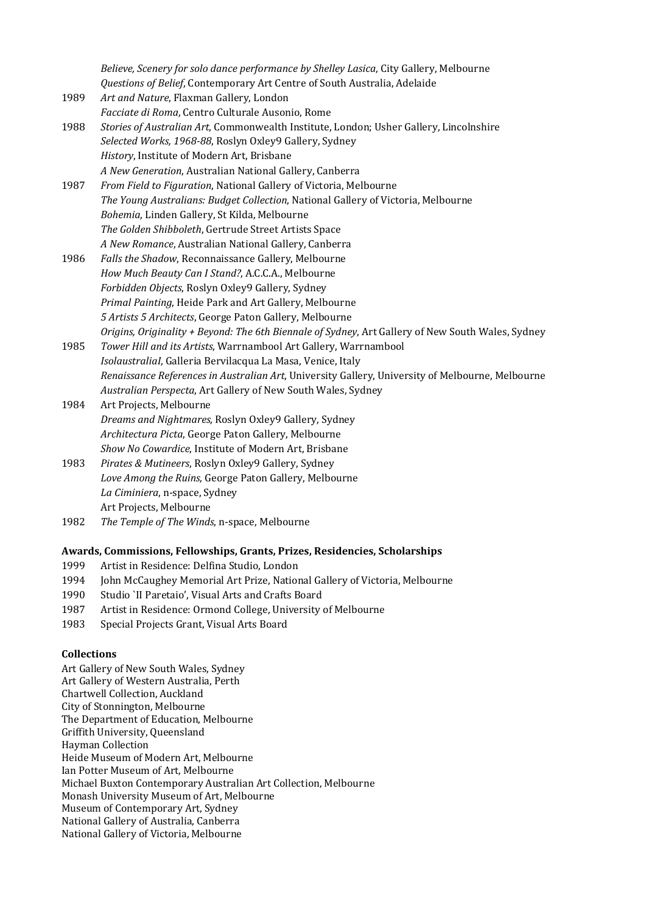*Believe, Scenery for solo dance performance by Shelley Lasica*, City Gallery, Melbourne *Questions of Belief*, Contemporary Art Centre of South Australia, Adelaide 1989 *Art and Nature*, Flaxman Gallery, London *Facciate di Roma*, Centro Culturale Ausonio, Rome 1988 *Stories of Australian Art*, Commonwealth Institute, London; Usher Gallery, Lincolnshire *Selected Works, 1968-88*, Roslyn Oxley9 Gallery, Sydney *History*, Institute of Modern Art, Brisbane *A New Generation*, Australian National Gallery, Canberra 1987 *From Field to Figuration*, National Gallery of Victoria, Melbourne *The Young Australians: Budget Collection*, National Gallery of Victoria, Melbourne *Bohemia*, Linden Gallery, St Kilda, Melbourne *The Golden Shibboleth*, Gertrude Street Artists Space *A New Romance*, Australian National Gallery, Canberra 1986 *Falls the Shadow*, Reconnaissance Gallery, Melbourne *How Much Beauty Can I Stand?*, A.C.C.A., Melbourne *Forbidden Objects*, Roslyn Oxley9 Gallery, Sydney *Primal Painting*, Heide Park and Art Gallery, Melbourne *5 Artists 5 Architects*, George Paton Gallery, Melbourne *Origins, Originality + Beyond: The 6th Biennale of Sydney*, Art Gallery of New South Wales, Sydney 1985 *Tower Hill and its Artists*, Warrnambool Art Gallery, Warrnambool *IsolaustraliaI*, Galleria Bervilacqua La Masa, Venice, Italy *Renaissance References in Australian Art*, University Gallery, University of Melbourne, Melbourne *Australian Perspecta*, Art Gallery of New South Wales, Sydney 1984 Art Projects, Melbourne *Dreams and Nightmares*, Roslyn Oxley9 Gallery, Sydney

*Architectura Picta*, George Paton Gallery, Melbourne *Show No Cowardice*, Institute of Modern Art, Brisbane

- 1983 *Pirates & Mutineers*, Roslyn Oxley9 Gallery, Sydney *Love Among the Ruins*, George Paton Gallery, Melbourne *La Ciminiera*, n-space, Sydney Art Projects, Melbourne
- 1982 *The Temple of The Winds*, n-space, Melbourne

### **Awards, Commissions, Fellowships, Grants, Prizes, Residencies, Scholarships**

- 1999 Artist in Residence: Delfina Studio, London
- 1994 John McCaughey Memorial Art Prize, National Gallery of Victoria, Melbourne
- 1990 Studio `II Paretaio', Visual Arts and Crafts Board
- 1987 Artist in Residence: Ormond College, University of Melbourne
- 1983 Special Projects Grant, Visual Arts Board

#### **Collections**

Art Gallery of New South Wales, Sydney Art Gallery of Western Australia, Perth Chartwell Collection, Auckland City of Stonnington, Melbourne The Department of Education, Melbourne Griffith University, Queensland Hayman Collection Heide Museum of Modern Art, Melbourne Ian Potter Museum of Art, Melbourne Michael Buxton Contemporary Australian Art Collection, Melbourne Monash University Museum of Art, Melbourne Museum of Contemporary Art, Sydney National Gallery of Australia, Canberra National Gallery of Victoria, Melbourne